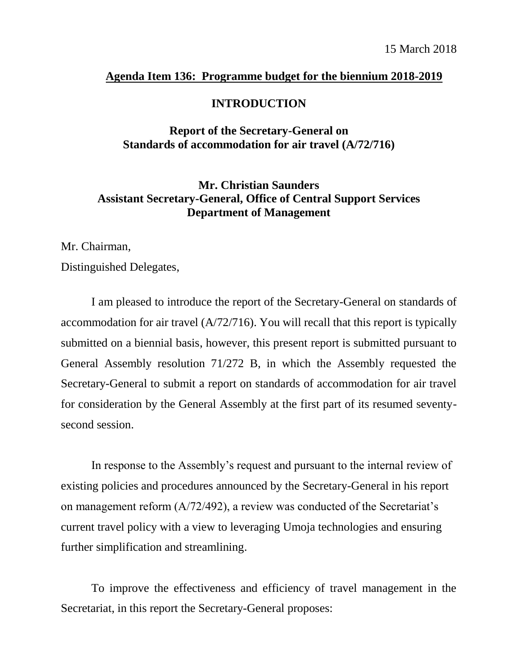## **Agenda Item 136: Programme budget for the biennium 2018-2019**

## **INTRODUCTION**

## **Report of the Secretary-General on Standards of accommodation for air travel (A/72/716)**

## **Mr. Christian Saunders Assistant Secretary-General, Office of Central Support Services Department of Management**

Mr. Chairman,

Distinguished Delegates,

I am pleased to introduce the report of the Secretary-General on standards of accommodation for air travel (A/72/716). You will recall that this report is typically submitted on a biennial basis, however, this present report is submitted pursuant to General Assembly resolution 71/272 B, in which the Assembly requested the Secretary-General to submit a report on standards of accommodation for air travel for consideration by the General Assembly at the first part of its resumed seventysecond session.

In response to the Assembly's request and pursuant to the internal review of existing policies and procedures announced by the Secretary-General in his report on management reform (A/72/492), a review was conducted of the Secretariat's current travel policy with a view to leveraging Umoja technologies and ensuring further simplification and streamlining.

To improve the effectiveness and efficiency of travel management in the Secretariat, in this report the Secretary-General proposes: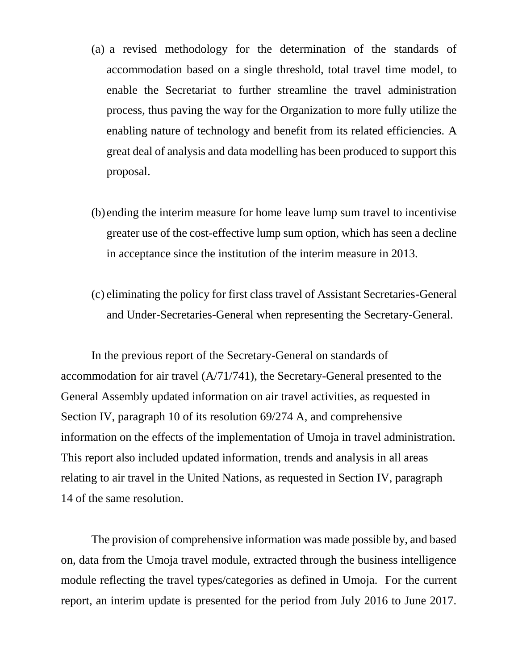- (a) a revised methodology for the determination of the standards of accommodation based on a single threshold, total travel time model, to enable the Secretariat to further streamline the travel administration process, thus paving the way for the Organization to more fully utilize the enabling nature of technology and benefit from its related efficiencies. A great deal of analysis and data modelling has been produced to support this proposal.
- (b) ending the interim measure for home leave lump sum travel to incentivise greater use of the cost-effective lump sum option, which has seen a decline in acceptance since the institution of the interim measure in 2013.
- (c) eliminating the policy for first class travel of Assistant Secretaries-General and Under-Secretaries-General when representing the Secretary-General.

In the previous report of the Secretary-General on standards of accommodation for air travel (A/71/741), the Secretary-General presented to the General Assembly updated information on air travel activities, as requested in Section IV, paragraph 10 of its resolution 69/274 A, and comprehensive information on the effects of the implementation of Umoja in travel administration. This report also included updated information, trends and analysis in all areas relating to air travel in the United Nations, as requested in Section IV, paragraph 14 of the same resolution.

The provision of comprehensive information was made possible by, and based on, data from the Umoja travel module, extracted through the business intelligence module reflecting the travel types/categories as defined in Umoja. For the current report, an interim update is presented for the period from July 2016 to June 2017.